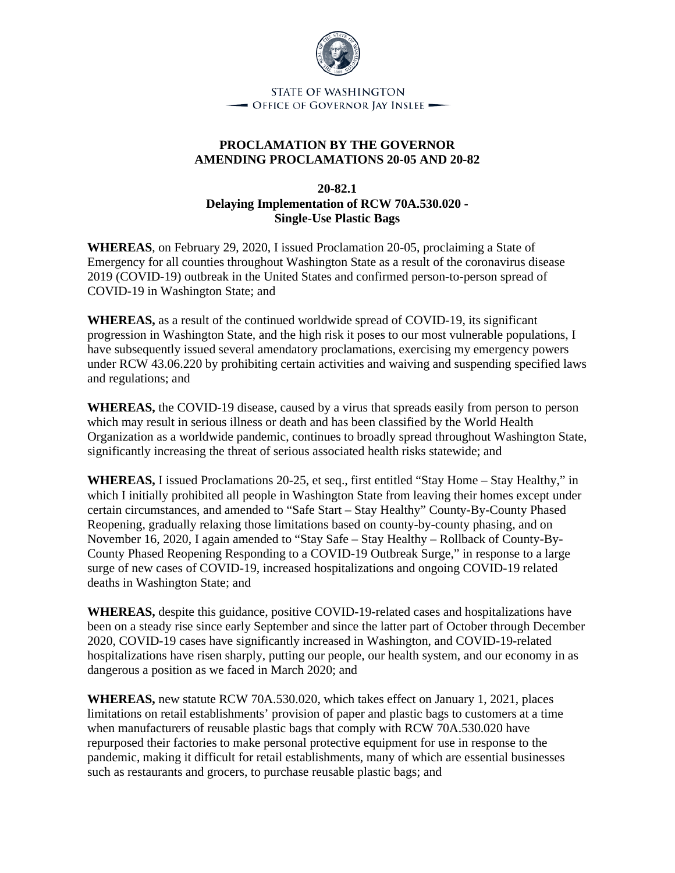

**STATE OF WASHINGTON**  $\rightarrow$  Office of Governor Jay Inslee  $\rightarrow$ 

## **PROCLAMATION BY THE GOVERNOR AMENDING PROCLAMATIONS 20-05 AND 20-82**

## **20-82.1 Delaying Implementation of RCW 70A.530.020 - Single-Use Plastic Bags**

**WHEREAS**, on February 29, 2020, I issued Proclamation 20-05, proclaiming a State of Emergency for all counties throughout Washington State as a result of the coronavirus disease 2019 (COVID-19) outbreak in the United States and confirmed person-to-person spread of COVID-19 in Washington State; and

**WHEREAS,** as a result of the continued worldwide spread of COVID-19, its significant progression in Washington State, and the high risk it poses to our most vulnerable populations, I have subsequently issued several amendatory proclamations, exercising my emergency powers under RCW 43.06.220 by prohibiting certain activities and waiving and suspending specified laws and regulations; and

**WHEREAS,** the COVID-19 disease, caused by a virus that spreads easily from person to person which may result in serious illness or death and has been classified by the World Health Organization as a worldwide pandemic, continues to broadly spread throughout Washington State, significantly increasing the threat of serious associated health risks statewide; and

**WHEREAS,** I issued Proclamations 20-25, et seq., first entitled "Stay Home – Stay Healthy," in which I initially prohibited all people in Washington State from leaving their homes except under certain circumstances, and amended to "Safe Start – Stay Healthy" County-By-County Phased Reopening, gradually relaxing those limitations based on county-by-county phasing, and on November 16, 2020, I again amended to "Stay Safe – Stay Healthy – Rollback of County-By-County Phased Reopening Responding to a COVID-19 Outbreak Surge," in response to a large surge of new cases of COVID-19, increased hospitalizations and ongoing COVID-19 related deaths in Washington State; and

**WHEREAS,** despite this guidance, positive COVID-19-related cases and hospitalizations have been on a steady rise since early September and since the latter part of October through December 2020, COVID-19 cases have significantly increased in Washington, and COVID-19-related hospitalizations have risen sharply, putting our people, our health system, and our economy in as dangerous a position as we faced in March 2020; and

**WHEREAS,** new statute RCW 70A.530.020, which takes effect on January 1, 2021, places limitations on retail establishments' provision of paper and plastic bags to customers at a time when manufacturers of reusable plastic bags that comply with RCW 70A.530.020 have repurposed their factories to make personal protective equipment for use in response to the pandemic, making it difficult for retail establishments, many of which are essential businesses such as restaurants and grocers, to purchase reusable plastic bags; and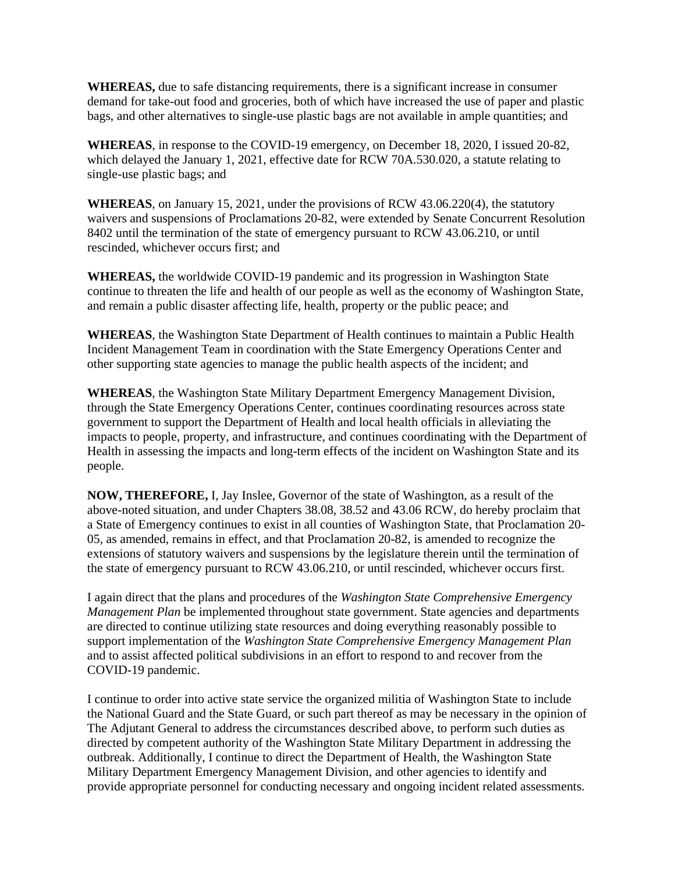**WHEREAS,** due to safe distancing requirements, there is a significant increase in consumer demand for take-out food and groceries, both of which have increased the use of paper and plastic bags, and other alternatives to single-use plastic bags are not available in ample quantities; and

**WHEREAS**, in response to the COVID-19 emergency, on December 18, 2020, I issued 20-82, which delayed the January 1, 2021, effective date for RCW 70A.530.020, a statute relating to single-use plastic bags; and

**WHEREAS**, on January 15, 2021, under the provisions of RCW 43.06.220(4), the statutory waivers and suspensions of Proclamations 20-82, were extended by Senate Concurrent Resolution 8402 until the termination of the state of emergency pursuant to RCW 43.06.210, or until rescinded, whichever occurs first; and

**WHEREAS,** the worldwide COVID-19 pandemic and its progression in Washington State continue to threaten the life and health of our people as well as the economy of Washington State, and remain a public disaster affecting life, health, property or the public peace; and

**WHEREAS**, the Washington State Department of Health continues to maintain a Public Health Incident Management Team in coordination with the State Emergency Operations Center and other supporting state agencies to manage the public health aspects of the incident; and

**WHEREAS**, the Washington State Military Department Emergency Management Division, through the State Emergency Operations Center, continues coordinating resources across state government to support the Department of Health and local health officials in alleviating the impacts to people, property, and infrastructure, and continues coordinating with the Department of Health in assessing the impacts and long-term effects of the incident on Washington State and its people.

**NOW, THEREFORE,** I, Jay Inslee, Governor of the state of Washington, as a result of the above-noted situation, and under Chapters 38.08, 38.52 and 43.06 RCW, do hereby proclaim that a State of Emergency continues to exist in all counties of Washington State, that Proclamation 20- 05, as amended, remains in effect, and that Proclamation 20-82, is amended to recognize the extensions of statutory waivers and suspensions by the legislature therein until the termination of the state of emergency pursuant to RCW 43.06.210, or until rescinded, whichever occurs first.

I again direct that the plans and procedures of the *Washington State Comprehensive Emergency Management Plan* be implemented throughout state government. State agencies and departments are directed to continue utilizing state resources and doing everything reasonably possible to support implementation of the *Washington State Comprehensive Emergency Management Plan* and to assist affected political subdivisions in an effort to respond to and recover from the COVID-19 pandemic.

I continue to order into active state service the organized militia of Washington State to include the National Guard and the State Guard, or such part thereof as may be necessary in the opinion of The Adjutant General to address the circumstances described above, to perform such duties as directed by competent authority of the Washington State Military Department in addressing the outbreak. Additionally, I continue to direct the Department of Health, the Washington State Military Department Emergency Management Division, and other agencies to identify and provide appropriate personnel for conducting necessary and ongoing incident related assessments.